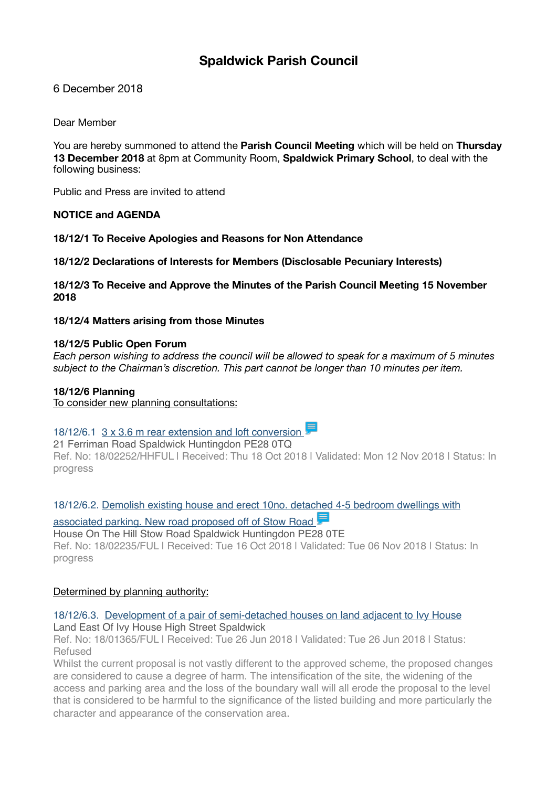# **Spaldwick Parish Council**

6 December 2018

Dear Member

You are hereby summoned to attend the **Parish Council Meeting** which will be held on **Thursday 13 December 2018** at 8pm at Community Room, **Spaldwick Primary School**, to deal with the following business:

Public and Press are invited to attend

## **NOTICE and AGENDA**

**18/12/1 To Receive Apologies and Reasons for Non Attendance** 

**18/12/2 Declarations of Interests for Members (Disclosable Pecuniary Interests)** 

**18/12/3 To Receive and Approve the Minutes of the Parish Council Meeting 15 November 2018** 

**18/12/4 Matters arising from those Minutes** 

#### **18/12/5 Public Open Forum**

*Each person wishing to address the council will be allowed to speak for a maximum of 5 minutes subject to the Chairman's discretion. This part cannot be longer than 10 minutes per item.*

## **18/12/6 Planning**

To consider new planning consultations:

# 18/12/6.1 3 x 3.6 m rear extension and loft conversion

21 Ferriman Road Spaldwick Huntingdon PE28 0TQ

Ref. No: 18/02252/HHFUL | Received: Thu 18 Oct 2018 | Validated: Mon 12 Nov 2018 | Status: In progress

[18/12/6.2. Demolish existing house and erect 10no. detached 4-5 bedroom dwellings with](https://publicaccess.huntingdonshire.gov.uk/online-applications/applicationDetails.do?keyVal=PGP5RUIKHDF00&activeTab=summary) 

## associated parking. New road proposed off of Stow Road

House On The Hill Stow Road Spaldwick Huntingdon PE28 0TE Ref. No: 18/02235/FUL | Received: Tue 16 Oct 2018 | Validated: Tue 06 Nov 2018 | Status: In progress

## Determined by planning authority:

## 18/12/6.3. [Development of a pair of semi-detached houses on land adjacent to Ivy House](https://publicaccess.huntingdonshire.gov.uk/online-applications/applicationDetails.do?keyVal=PAXIQ3IKMR100&activeTab=summary) Land East Of Ivy House High Street Spaldwick

Ref. No: 18/01365/FUL | Received: Tue 26 Jun 2018 | Validated: Tue 26 Jun 2018 | Status: Refused

Whilst the current proposal is not vastly different to the approved scheme, the proposed changes are considered to cause a degree of harm. The intensification of the site, the widening of the access and parking area and the loss of the boundary wall will all erode the proposal to the level that is considered to be harmful to the significance of the listed building and more particularly the character and appearance of the conservation area.